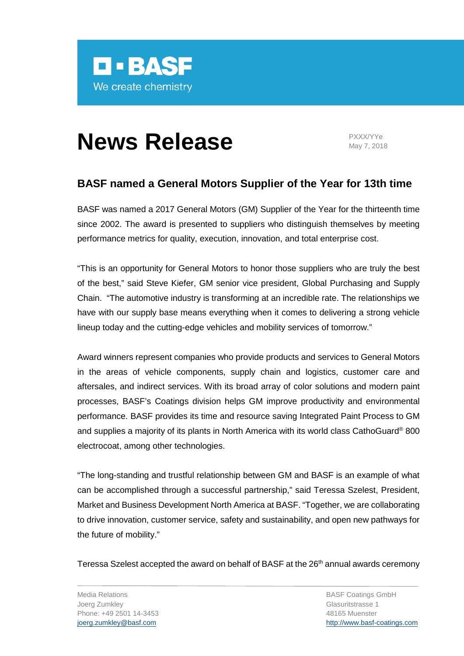

## **News Release** PXXX/YYe

May 7, 2018

## **BASF named a General Motors Supplier of the Year for 13th time**

BASF was named a 2017 General Motors (GM) Supplier of the Year for the thirteenth time since 2002. The award is presented to suppliers who distinguish themselves by meeting performance metrics for quality, execution, innovation, and total enterprise cost.

"This is an opportunity for General Motors to honor those suppliers who are truly the best of the best," said Steve Kiefer, GM senior vice president, Global Purchasing and Supply Chain. "The automotive industry is transforming at an incredible rate. The relationships we have with our supply base means everything when it comes to delivering a strong vehicle lineup today and the cutting-edge vehicles and mobility services of tomorrow."

Award winners represent companies who provide products and services to General Motors in the areas of vehicle components, supply chain and logistics, customer care and aftersales, and indirect services. With its broad array of color solutions and modern paint processes, BASF's Coatings division helps GM improve productivity and environmental performance. BASF provides its time and resource saving Integrated Paint Process to GM and supplies a majority of its plants in North America with its world class CathoGuard® 800 electrocoat, among other technologies.

"The long-standing and trustful relationship between GM and BASF is an example of what can be accomplished through a successful partnership," said Teressa Szelest, President, Market and Business Development North America at BASF. "Together, we are collaborating to drive innovation, customer service, safety and sustainability, and open new pathways for the future of mobility."

Teressa Szelest accepted the award on behalf of BASF at the 26<sup>th</sup> annual awards ceremony